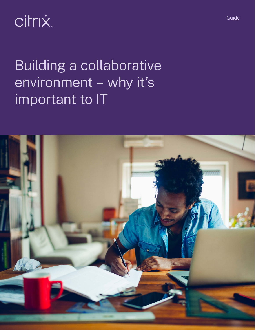citrix.

Building a collaborative environment – why it's important to IT



Guide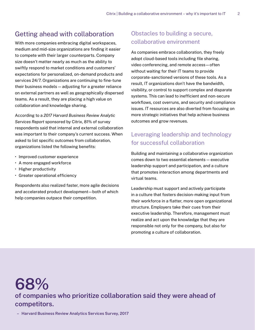## Getting ahead with collaboration

With more companies embracing digital workspaces, medium and mid-size organizations are finding it easier to compete with their larger counterparts. Company size doesn't matter nearly as much as the ability to swiftly respond to market conditions and customers' expectations for personalized, on-demand products and services 24/7. Organizations are continuing to fine-tune their business models — adjusting for a greater reliance on external partners as well as geographically dispersed teams. As a result, they are placing a high value on collaboration and knowledge sharing.

According to a *2017 Harvard Business Review Analytic Services Report* sponsored by Citrix, 81% of survey respondents said that internal and external collaboration was important to their company's current success. When asked to list specific outcomes from collaboration, organizations listed the following benefits:

- Improved customer experience
- A more engaged workforce
- Higher productivity
- Greater operational efficiency

Respondents also realized faster, more agile decisions and accelerated product development—both of which help companies outpace their competition.

## Obstacles to building a secure, collaborative environment

As companies embrace collaboration, they freely adopt cloud-based tools including file sharing, video conferencing, and remote access—often without waiting for their IT teams to provide corporate-sanctioned versions of these tools. As a result, IT organizations don't have the bandwidth, visibility, or control to support complex and disparate systems. This can lead to inefficient and non-secure workflows, cost overruns, and security and compliance issues. IT resources are also diverted from focusing on more strategic initiatives that help achieve business outcomes and grow revenues.

# Leveraging leadership and technology for successful collaboration

Building and maintaining a collaborative organization comes down to two essential elements — executive leadership support and participation, and a culture that promotes interaction among departments and virtual teams.

Leadership must support and actively participate in a culture that fosters decision-making input from their workforce in a flatter, more open organizational structure. Employers take their cues from their executive leadership. Therefore, management must realize and act upon the knowledge that they are responsible not only for the company, but also for promoting a culture of collaboration.

# **68% of companies who prioritize collaboration said they were ahead of competitors.**

**– Harvard Business Review Analytics Services Survey, 2017**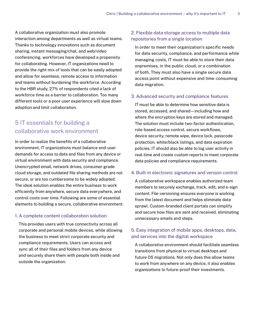A collaborative organization must also promote interaction among departments as well as virtual teams. Thanks to technology innovations such as document sharing, instant messaging/chat, and web/video conferencing, workforces have developed a propensity for collaborating. However, IT organizations need to provide the right mix of tools that can be easily adopted and allow for seamless, remote access to information and teams without burdening the workforce. According to the HBR study, 27% of respondents cited a lack of workforce time as a barrier to collaboration. Too many different tools or a poor user experience will slow down adoption and limit collaboration.

# 5 IT essentials for building a collaborative work environment

In order to realize the benefits of a collaborative environment, IT organizations must balance end-user demands for access to data and files from any device or virtual environment with data security and compliance. Unencrypted email, network drives, consumer-grade cloud storage, and outdated file sharing methods are not secure, or are too cumbersome to be widely adopted. The ideal solution enables the entire business to work efficiently from anywhere, secure data everywhere, and control costs over time. Following are some of essential elements to building a secure, collaborative environment.

## 1. A complete content collaboration solution

This provides users with true connectivity across all corporate and personal mobile devices, while allowing the business to meet strict corporate security and compliance requirements. Users can access and sync all of their files and folders from any device and securely share them with people both inside and outside the organization.

## 2. Flexible data storage access to multiple data repositories from a single location

In order to meet their organization's specific needs for data security, compliance, and performance while managing costs, IT must be able to store their data onpremises, in the public cloud, or a combination of both. They must also have a single secure data access point without expensive and time-consuming data migration.

### 3. Advanced security and compliance features

IT must be able to determine how sensitive data is stored, accessed, and shared—including how and where the encryption keys are stored and managed. The solution must include two-factor authentication, role-based access control, secure workflows, device security, remote wipe, device lock, passcode protection, white/black listings, and data expiration policies. IT should also be able to log user activity in real-time and create custom reports to meet corporate data policies and compliance requirements.

### 4. Built-in electronic signatures and version control

A collaborative workspace enables authorized team members to securely exchange, track, edit, and e-sign content. File-versioning ensures everyone is working from the latest document and helps eliminate data sprawl. Custom-branded client portals can simplify and secure how files are sent and received, eliminating unnecessary emails and steps.

## 5. Easy integration of mobile apps, desktops, data, and services into the digital workspace

A collaborative environment should facilitate seamless transitions from physical to virtual desktops and future OS migrations. Not only does this allow teams to work from anywhere on any device, it also enables organizations to future-proof their investments.